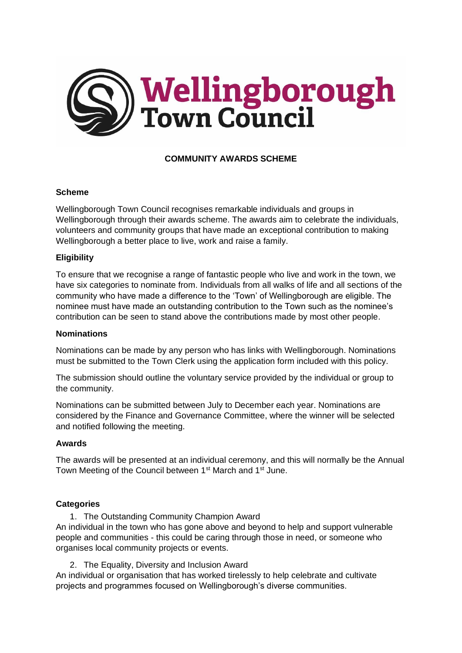

# **COMMUNITY AWARDS SCHEME**

### **Scheme**

Wellingborough Town Council recognises remarkable individuals and groups in Wellingborough through their awards scheme. The awards aim to celebrate the individuals, volunteers and community groups that have made an exceptional contribution to making Wellingborough a better place to live, work and raise a family.

### **Eligibility**

To ensure that we recognise a range of fantastic people who live and work in the town, we have six categories to nominate from. Individuals from all walks of life and all sections of the community who have made a difference to the 'Town' of Wellingborough are eligible. The nominee must have made an outstanding contribution to the Town such as the nominee's contribution can be seen to stand above the contributions made by most other people.

#### **Nominations**

Nominations can be made by any person who has links with Wellingborough. Nominations must be submitted to the Town Clerk using the application form included with this policy.

The submission should outline the voluntary service provided by the individual or group to the community.

Nominations can be submitted between July to December each year. Nominations are considered by the Finance and Governance Committee, where the winner will be selected and notified following the meeting.

#### **Awards**

The awards will be presented at an individual ceremony, and this will normally be the Annual Town Meeting of the Council between 1<sup>st</sup> March and 1<sup>st</sup> June.

#### **Categories**

1. The Outstanding Community Champion Award An individual in the town who has gone above and beyond to help and support vulnerable people and communities - this could be caring through those in need, or someone who organises local community projects or events.

2. The Equality, Diversity and Inclusion Award

An individual or organisation that has worked tirelessly to help celebrate and cultivate projects and programmes focused on Wellingborough's diverse communities.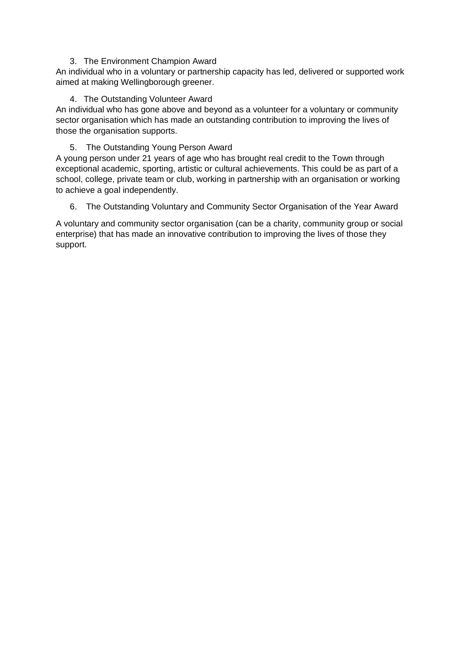### 3. The Environment Champion Award

An individual who in a voluntary or partnership capacity has led, delivered or supported work aimed at making Wellingborough greener.

# 4. The Outstanding Volunteer Award

An individual who has gone above and beyond as a volunteer for a voluntary or community sector organisation which has made an outstanding contribution to improving the lives of those the organisation supports.

# 5. The Outstanding Young Person Award

A young person under 21 years of age who has brought real credit to the Town through exceptional academic, sporting, artistic or cultural achievements. This could be as part of a school, college, private team or club, working in partnership with an organisation or working to achieve a goal independently.

6. The Outstanding Voluntary and Community Sector Organisation of the Year Award

A voluntary and community sector organisation (can be a charity, community group or social enterprise) that has made an innovative contribution to improving the lives of those they support.